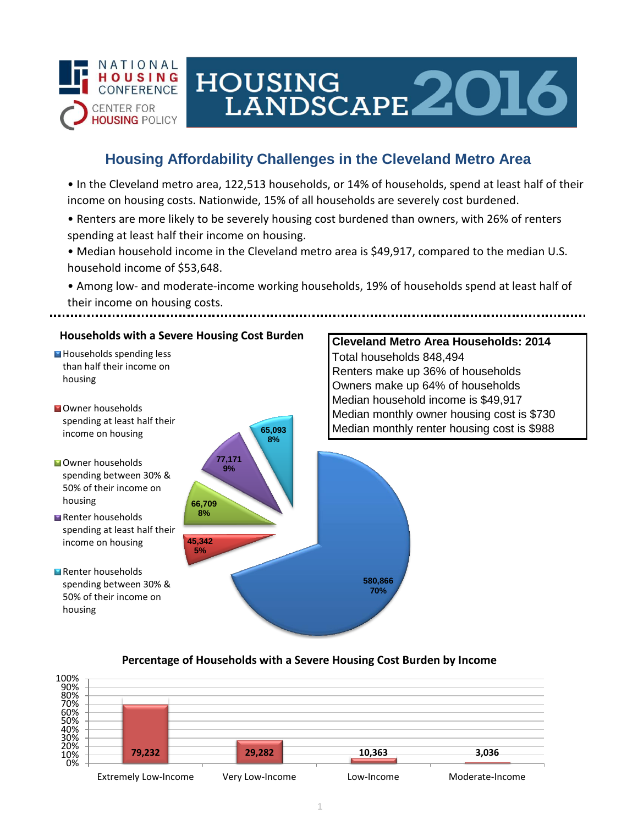

# HOUSING<br>LANDSCAPE 2016

## **Housing Affordability Challenges in the Cleveland Metro Area**

• In the Cleveland metro area, 122,513 households, or 14% of households, spend at least half of their income on housing costs. Nationwide, 15% of all households are severely cost burdened.

- Renters are more likely to be severely housing cost burdened than owners, with 26% of renters spending at least half their income on housing.
- Median household income in the Cleveland metro area is \$49,917, compared to the median U.S. household income of \$53,648.
- Among low- and moderate-income working households, 19% of households spend at least half of their income on housing costs.



### **Percentage of Households with a Severe Housing Cost Burden by Income**